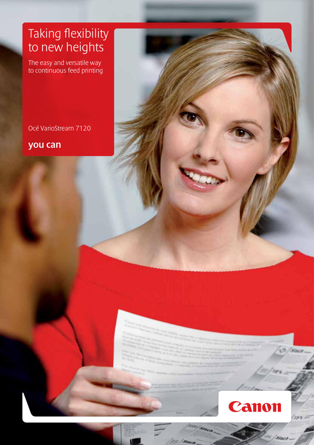### Taking flexibility to new heights

The easy and versatile way to continuous feed printing

Océ VarioStream 7120

you can



758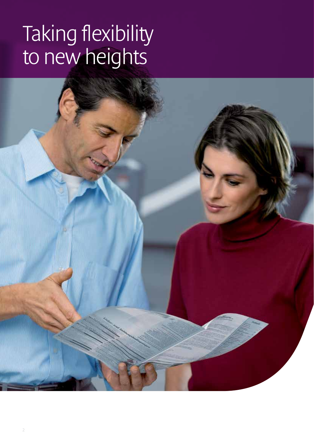## Taking flexibility to new heights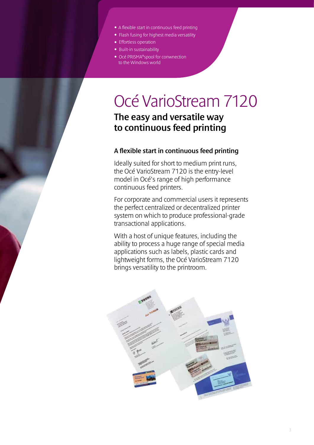- A flexible start in continuous feed printing
- Flash fusing for highest media versatility
- Effortless operation
- Built-in sustainability
- Océ PRISMA®spool for conwnection to the Windows world

### Océ VarioStream 7120

### The easy and versatile way to continuous feed printing

#### A flexible start in continuous feed printing

Ideally suited for short to medium print runs, the Océ VarioStream 7120 is the entry-level model in Océ's range of high performance continuous feed printers.

For corporate and commercial users it represents the perfect centralized or decentralized printer system on which to produce professional-grade transactional applications.

With a host of unique features, including the ability to process a huge range of special media applications such as labels, plastic cards and lightweight forms, the Océ VarioStream 7120 brings versatility to the printroom.

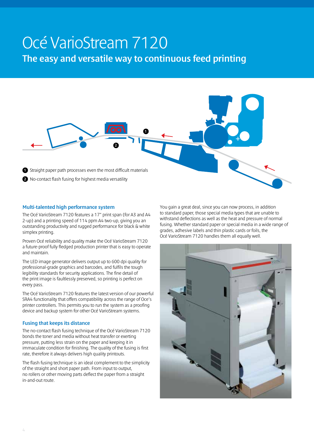## Océ VarioStream 7120

The easy and versatile way to continuous feed printing



#### Multi-talented high performance system

The Océ VarioStream 7120 features a 17" print span (for A3 and A4 2-up) and a printing speed of 114 ppm A4 two-up, giving you an outstanding productivity and rugged performance for black & white simplex printing.

Proven Océ reliability and quality make the Océ VarioStream 7120 a future-proof fully fledged production printer that is easy to operate and maintain.

The LED image generator delivers output up to 600 dpi quality for professional-grade graphics and barcodes, and fulfils the tough legibility standards for security applications. The fine detail of the print image is faultlessly preserved, so printing is perfect on every pass.

The Océ VarioStream 7120 features the latest version of our powerful SRA4 functionality that offers compatibility across the range of Oce's printer controllers. This permits you to run the system as a proofing device and backup system for other Océ VarioStream systems.

#### Fusing that keeps its distance

The no-contact flash fusing technique of the Océ VarioStream 7120 bonds the toner and media without heat transfer or exerting pressure, putting less strain on the paper and keeping it in immaculate condition for finishing. The quality of the fusing is first rate, therefore it always delivers high quality printouts.

The flash fusing technique is an ideal complement to the simplicity of the straight and short paper path. From input to output, no rollers or other moving parts deflect the paper from a straight in-and-out route.

You gain a great deal, since you can now process, in addition to standard paper, those special media types that are unable to withstand deflections as well as the heat and pressure of normal fusing. Whether standard paper or special media in a wide range of grades, adhesive labels and thin plastic cards or foils, the Océ VarioStream 7120 handles them all equally well.

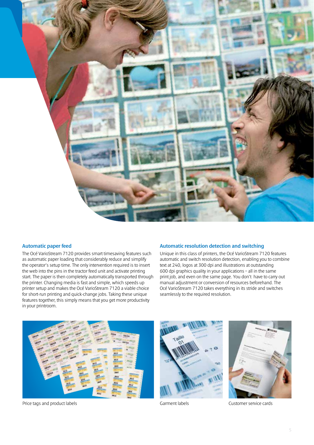

#### Automatic paper feed

The Océ VarioStream 7120 provides smart timesaving features such as automatic paper loading that considerably reduce and simplify the operator's setup time. The only intervention required is to insert the web into the pins in the tractor feed unit and activate printing start. The paper is then completely automatically transported through the printer. Changing media is fast and simple, which speeds up printer setup and makes the Océ VarioStream 7120 a viable choice for short-run printing and quick-change jobs. Taking these unique features together, this simply means that you get more productivity in your printroom.

#### Automatic resolution detection and switching

Unique in this class of printers, the Océ VarioStream 7120 features automatic and switch resolution detection, enabling you to combine text at 240, logos at 300 dpi and illustrations at outstanding 600 dpi graphics quality in your applications – all in the same print job, and even on the same page. You don't have to carry out manual adjustment or conversion of resources beforehand. The Océ VarioStream 7120 takes everything in its stride and switches seamlessly to the required resolution.



Price tags and product labels Garment labels Customer service cards



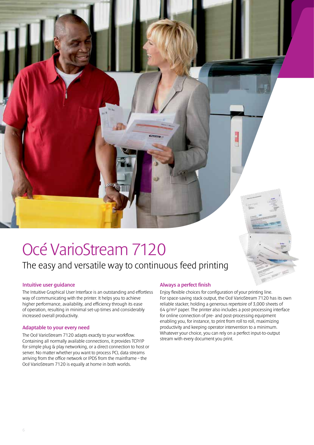# Océ VarioStream 7120

### The easy and versatile way to continuous feed printing

#### Intuitive user guidance

The Intuitive Graphical User Interface is an outstanding and effortless way of communicating with the printer. It helps you to achieve higher performance, availability, and efficiency through its ease of operation, resulting in minimal set-up times and considerably increased overall productivity.

#### Adaptable to your every need

The Océ VarioStream 7120 adapts exactly to your workflow. Containing all normally available connections, it provides TCP/IP for simple plug & play networking, or a direct connection to host or server. No matter whether you want to process PCL data streams arriving from the office network or IPDS from the mainframe – the Océ VarioStream 7120 is equally at home in both worlds.

#### Always a perfect finish

Enjoy flexible choices for configuration of your printing line. For space-saving stack output, the Océ VarioStream 7120 has its own reliable stacker, holding a generous repertoire of 3,000 sheets of 64 g/m² paper. The printer also includes a post-processing interface for online connection of pre- and post-processing equipment enabling you, for instance, to print from roll to roll, maximizing productivity and keeping operator intervention to a minimum. Whatever your choice, you can rely on a perfect input-to-output stream with every document you print.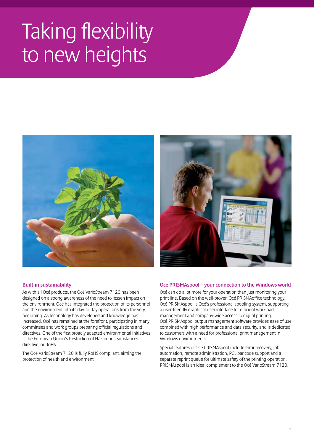## Taking flexibility to new heights





#### Built-in sustainability

As with all Océ products, the Océ VarioStream 7120 has been designed on a strong awareness of the need to lessen impact on the environment. Océ has integrated the protection of its personnel and the environment into its day-to-day operations from the very beginning. As technology has developed and knowledge has increased, Océ has remained at the forefront, participating in many committees and work groups preparing official regulations and directives. One of the first broadly adapted environmental initiatives is the European Union's Restriction of Hazardous Substances directive, or RoHS.

The Océ VarioStream 7120 is fully RoHS compliant, aiming the protection of health and environment.

#### Océ PRISMAspool – your connection to the Windows world

Océ can do a lot more for your operation than just monitoring your print line. Based on the well-proven Océ PRISMAoffice technology, Océ PRISMAspool is Océ's professional spooling system, supporting a user-friendly graphical user interface for efficient workload management and company-wide access to digital printing. Océ PRISMAspool output management software provides ease of use combined with high performance and data security, and is dedicated to customers with a need for professional print management in Windows environments.

Special features of Océ PRISMAspool include error recovery, job automation, remote administration, PCL bar code support and a separate reprint queue for ultimate safety of the printing operation. PRISMAspool is an ideal complement to the Océ VarioStream 7120.